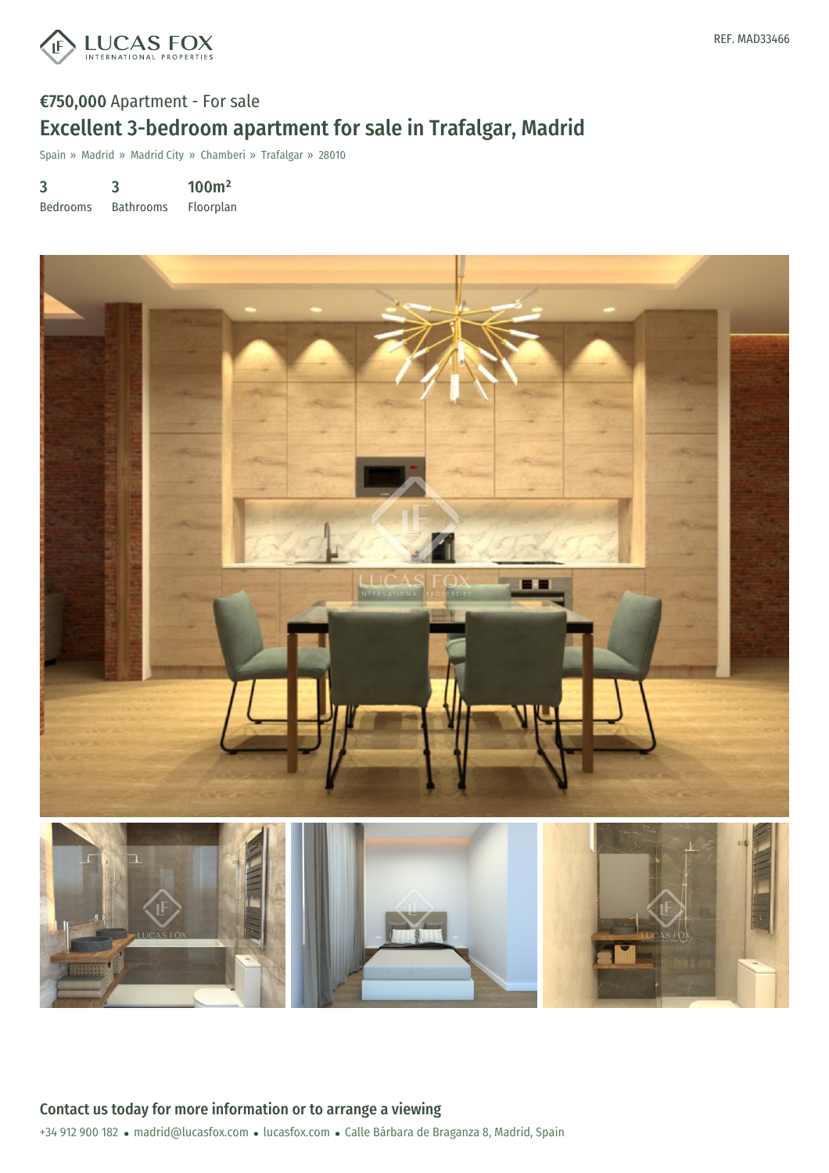

# €750,000 Apartment - For sale Excellent 3-bedroom apartment for sale in Trafalgar, Madrid

Spain » Madrid » Madrid City » Chamberí » Trafalgar » 28010

3 3 100m²

Bedrooms Bathrooms Floorplan

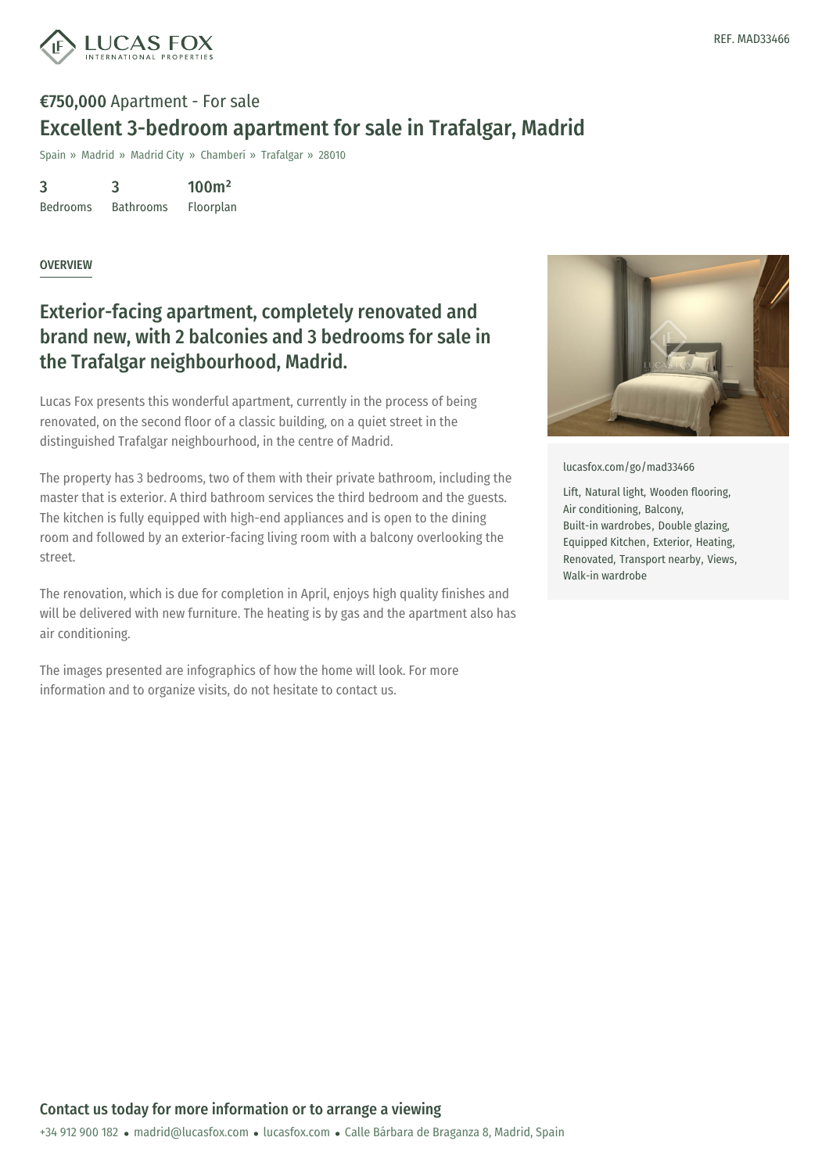

# €750,000 Apartment - For sale Excellent 3-bedroom apartment for sale in Trafalgar, Madrid

Spain » Madrid » Madrid City » Chamberí » Trafalgar » 28010

3 Bedrooms 3 Bathrooms 100m²

Floorplan

#### **OVERVIEW**

### Exterior-facing apartment, completely renovated and brand new, with 2 balconies and 3 bedrooms for sale in the Trafalgar neighbourhood, Madrid.

Lucas Fox presents this wonderful apartment, currently in the process of being renovated, on the second floor of a classic building, on a quiet street in the distinguished Trafalgar neighbourhood, in the centre of Madrid.

The property has 3 bedrooms, two of them with their private bathroom, including the master that is exterior. A third bathroom services the third bedroom and the guests. The kitchen is fully equipped with high-end appliances and is open to the dining room and followed by an exterior-facing living room with a balcony overlooking the street.

The renovation, which is due for completion in April, enjoys high quality finishes and will be delivered with new furniture. The heating is by gas and the apartment also has air conditioning.

The images presented are infographics of how the home will look. For more information and to organize visits, do not hesitate to contact us.



[lucasfox.com/go/mad33466](https://www.lucasfox.com/go/mad33466)

Lift, Natural light, Wooden flooring, Air conditioning, Balcony, Built-in wardrobes, Double glazing, Equipped Kitchen, Exterior, Heating, Renovated, Transport nearby, Views, Walk-in wardrobe